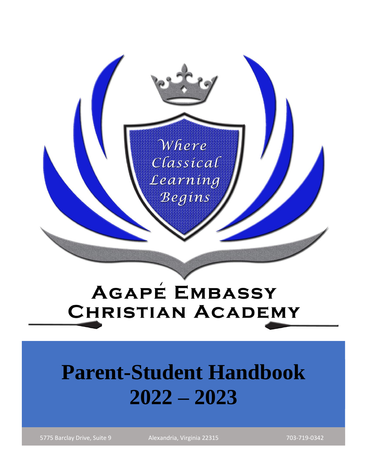

# **AGAPÉ EMBASSY CHRISTIAN ACADEMY**

# **Parent-Student Handbook 2022 – 2023**

5775 Barclay Drive, Suite 9 Alexandria, Virginia 22315 703-719-0342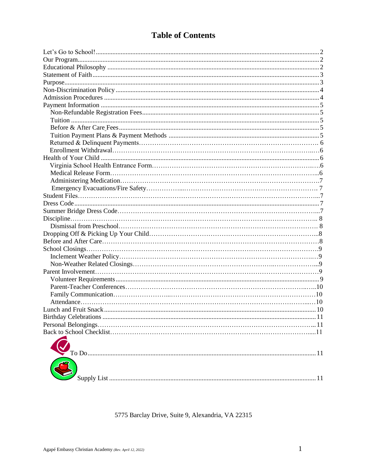# **Table of Contents**

5775 Barclay Drive, Suite 9, Alexandria, VA 22315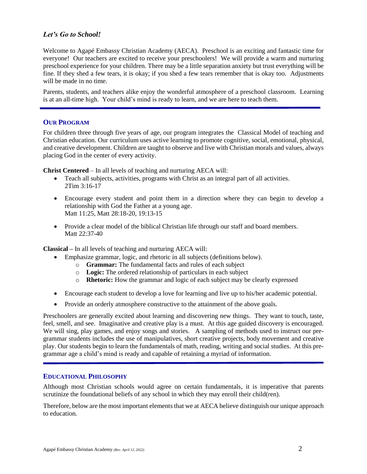# <span id="page-2-0"></span>*Let's Go to School!*

Welcome to Agapé Embassy Christian Academy (AECA). Preschool is an exciting and fantastic time for everyone! Our teachers are excited to receive your preschoolers! We will provide a warm and nurturing preschool experience for your children. There may be a little separation anxiety but trust everything will be fine. If they shed a few tears, it is okay; if you shed a few tears remember that is okay too. Adjustments will be made in no time.

Parents, students, and teachers alike enjoy the wonderful atmosphere of a preschool classroom. Learning is at an all-time high. Your child's mind is ready to learn, and we are here to teach them.

#### <span id="page-2-1"></span>**OUR PROGRAM**

For children three through five years of age, our program integrates the [Classical Model](http://www.nertamid.com/CNT/Education/pshighscopecurric.htm) of teaching and [Christian education. Our curriculum](http://www.nertamid.com/CNT/Education/pshighscopecurric.htm) uses active learning to promote cognitive, social, emotional, physical, and creative development. Children are taught to observe and live with Christian morals and values, always placing God in the center of every activity.

**Christ Centered** – In all levels of teaching and nurturing AECA will:

- Teach all subjects, activities, programs with Christ as an integral part of all activities. 2Tim 3:16-17
- Encourage every student and point them in a direction where they can begin to develop a relationship with God the Father at a young age. Matt 11:25, Matt 28:18-20, 19:13-15
- Provide a clear model of the biblical Christian life through our staff and board members. Matt 22:37-40

**Classical –** In all levels of teaching and nurturing AECA will:

- Emphasize grammar, logic, and rhetoric in all subjects (definitions below).
	- o **Grammar:** The fundamental facts and rules of each subject
	- o **Logic:** The ordered relationship of particulars in each subject
	- o **Rhetoric:** How the grammar and logic of each subject may be clearly expressed
- Encourage each student to develop a love for learning and live up to his/her academic potential.
- Provide an orderly atmosphere constructive to the attainment of the above goals.

Preschoolers are generally excited about learning and discovering new things. They want to touch, taste, feel, smell, and see. Imaginative and creative play is a must. At this age guided discovery is encouraged. We will sing, play games, and enjoy songs and stories. A sampling of methods used to instruct our pregrammar students includes the use of manipulatives, short creative projects, body movement and creative play. Our students begin to learn the fundamentals of math, reading, writing and social studies. At this pregrammar age a child's mind is ready and capable of retaining a myriad of information.

#### <span id="page-2-2"></span>**EDUCATIONAL PHILOSOPHY**

Although most Christian schools would agree on certain fundamentals, it is imperative that parents scrutinize the foundational beliefs of any school in which they may enroll their child(ren).

Therefore, below are the most important elements that we at AECA believe distinguish our unique approach to education.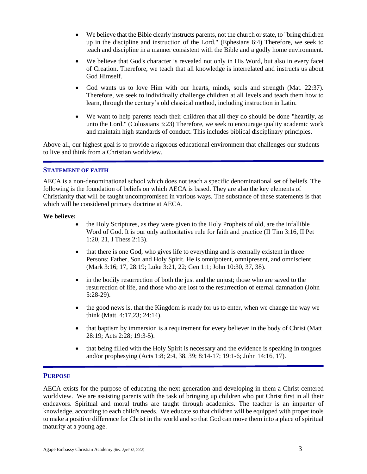- We believe that the Bible clearly instructs parents, not the church or state, to "bring children" up in the discipline and instruction of the Lord." (Ephesians 6:4) Therefore, we seek to teach and discipline in a manner consistent with the Bible and a godly home environment.
- We believe that God's character is revealed not only in His Word, but also in every facet of Creation. Therefore, we teach that all knowledge is interrelated and instructs us about God Himself.
- God wants us to love Him with our hearts, minds, souls and strength (Mat. 22:37). Therefore, we seek to individually challenge children at all levels and teach them how to learn, through the century's old classical method, including instruction in Latin.
- We want to help parents teach their children that all they do should be done "heartily, as unto the Lord." (Colossians 3:23) Therefore, we seek to encourage quality academic work and maintain high standards of conduct. This includes biblical disciplinary principles.

Above all, our highest goal is to provide a rigorous educational environment that challenges our students to live and think from a Christian worldview.

# <span id="page-3-0"></span>**STATEMENT OF FAITH**

AECA is a non-denominational school which does not teach a specific denominational set of beliefs. The following is the foundation of beliefs on which AECA is based. They are also the key elements of Christianity that will be taught uncompromised in various ways. The substance of these statements is that which will be considered primary doctrine at AECA.

#### **We believe:**

- the Holy Scriptures, as they were given to the Holy Prophets of old, are the infallible Word of God. It is our only authoritative rule for faith and practice (II Tim 3:16, II Pet 1:20, 21, I Thess 2:13).
- that there is one God, who gives life to everything and is eternally existent in three Persons: Father, Son and Holy Spirit. He is omnipotent, omnipresent, and omniscient (Mark 3:16; 17, 28:19; Luke 3:21, 22; Gen 1:1; John 10:30, 37, 38).
- in the bodily resurrection of both the just and the unjust; those who are saved to the resurrection of life, and those who are lost to the resurrection of eternal damnation (John 5:28-29).
- the good news is, that the Kingdom is ready for us to enter, when we change the way we think (Matt. 4:17,23; 24:14).
- that baptism by immersion is a requirement for every believer in the body of Christ (Matt 28:19; Acts 2:28; 19:3-5).
- that being filled with the Holy Spirit is necessary and the evidence is speaking in tongues and/or prophesying (Acts 1:8; 2:4, 38, 39; 8:14-17; 19:1-6; John 14:16, 17).

#### <span id="page-3-1"></span>**PURPOSE**

AECA exists for the purpose of educating the next generation and developing in them a Christ-centered worldview. We are assisting parents with the task of bringing up children who put Christ first in all their endeavors. Spiritual and moral truths are taught through academics. The teacher is an imparter of knowledge, according to each child's needs. We educate so that children will be equipped with proper tools to make a positive difference for Christ in the world and so that God can move them into a place of spiritual maturity at a young age.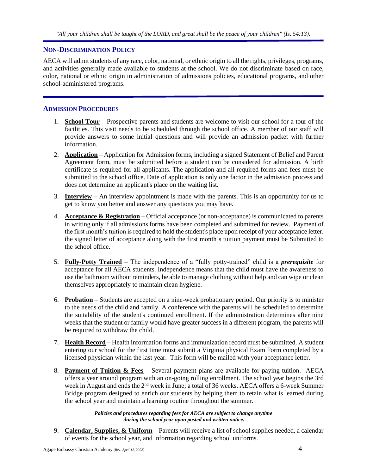#### <span id="page-4-0"></span>**NON-DISCRIMINATION POLICY**

AECA will admit students of any race, color, national, or ethnic origin to all the rights, privileges, programs, and activities generally made available to students at the school. We do not discriminate based on race, color, national or ethnic origin in administration of admissions policies, educational programs, and other school-administered programs.

#### <span id="page-4-1"></span>**ADMISSION PROCEDURES**

- 1. **School Tour** Prospective parents and students are welcome to visit our school for a tour of the facilities. This visit needs to be scheduled through the school office. A member of our staff will provide answers to some initial questions and will provide an admission packet with further information.
- 2. **Application** Application for Admission forms, including a signed Statement of Belief and Parent Agreement form, must be submitted before a student can be considered for admission. A birth certificate is required for all applicants. The application and all required forms and fees must be submitted to the school office. Date of application is only one factor in the admission process and does not determine an applicant's place on the waiting list.
- 3. **Interview** An interview appointment is made with the parents. This is an opportunity for us to get to know you better and answer any questions you may have.
- 4. **Acceptance & Registration** Official acceptance (or non-acceptance) is communicated to parents in writing only if all admissions forms have been completed and submitted for review. Payment of the first month's tuition is required to hold the student's place upon receipt of your acceptance letter. the signed letter of acceptance along with the first month's tuition payment must be Submitted to the school office.
- 5. **Fully-Potty Trained** The independence of a "fully potty-trained" child is a *prerequisite* for acceptance for all AECA students. Independence means that the child must have the awareness to use the bathroom without reminders, be able to manage clothing without help and can wipe or clean themselves appropriately to maintain clean hygiene.
- 6. **Probation** Students are accepted on a nine-week probationary period. Our priority is to minister to the needs of the child and family. A conference with the parents will be scheduled to determine the suitability of the student's continued enrollment. If the administration determines after nine weeks that the student or family would have greater success in a different program, the parents will be required to withdraw the child.
- 7. **Health Record** Health information forms and immunization record must be submitted. A student entering our school for the first time must submit a Virginia physical Exam Form completed by a licensed physician within the last year. This form will be mailed with your acceptance letter.
- 8. **Payment of Tuition & Fees** Several payment plans are available for paying tuition. AECA offers a year around program with an on-going rolling enrollment. The school year begins the 3rd week in August and ends the 2<sup>nd</sup> week in June; a total of 36 weeks. AECA offers a 6-week Summer Bridge program designed to enrich our students by helping them to retain what is learned during the school year and maintain a learning routine throughout the summer.

*Policies and procedures regarding fees for AECA are subject to change anytime during the school year upon posted and written notice.*

9. **Calendar, Supplies, & Uniform** – Parents will receive a list of school supplies needed, a calendar of events for the school year, and information regarding school uniforms.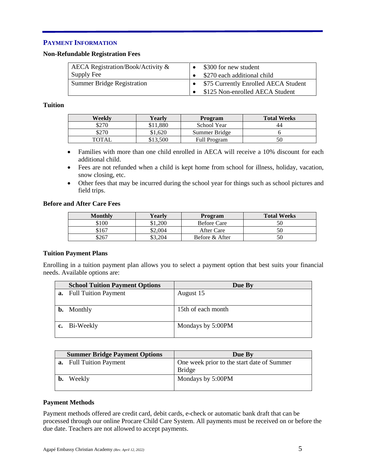# **PAYMENT INFORMATION**

#### <span id="page-5-0"></span>**Non-Refundable Registration Fees**

| AECA Registration/Book/Activity &<br>Supply Fee | \$300 for new student<br>\$270 each additional child |
|-------------------------------------------------|------------------------------------------------------|
| <b>Summer Bridge Registration</b>               | \$75 Currently Enrolled AECA Student                 |
|                                                 | \$125 Non-enrolled AECA Student                      |

# **Tuition**

| Weekly | Yearlv  | Program             | <b>Total Weeks</b> |
|--------|---------|---------------------|--------------------|
| \$270  | 1.880   | School Year         | 44                 |
| \$270  | \$1.620 | Summer Bridge       |                    |
| TOTAI  | 13.500  | <b>Full Program</b> |                    |

- Families with more than one child enrolled in AECA will receive a 10% discount for each additional child.
- Fees are not refunded when a child is kept home from school for illness, holiday, vacation, snow closing, etc.
- Other fees that may be incurred during the school year for things such as school pictures and field trips.

#### **Before and After Care Fees**

| <b>Monthly</b> | Yearlv  | <b>Program</b>     | <b>Total Weeks</b> |
|----------------|---------|--------------------|--------------------|
| \$100          | \$1,200 | <b>Before Care</b> |                    |
| \$167          | \$2.004 | After Care         |                    |
| \$267          | \$3,204 | Before & After     |                    |

# <span id="page-5-1"></span>**Tuition Payment Plans**

Enrolling in a tuition payment plan allows you to select a payment option that best suits your financial needs. Available options are:

| <b>School Tuition Payment Options</b> | Due By             |
|---------------------------------------|--------------------|
| <b>a.</b> Full Tuition Payment        | August 15          |
|                                       |                    |
| <b>b.</b> Monthly                     | 15th of each month |
|                                       |                    |
| c. Bi-Weekly                          | Mondays by 5:00PM  |
|                                       |                    |

|    | <b>Summer Bridge Payment Options</b> | Due By                                                      |
|----|--------------------------------------|-------------------------------------------------------------|
|    | <b>a.</b> Full Tuition Payment       | One week prior to the start date of Summer<br><b>Bridge</b> |
| b. | Weekly                               | Mondays by 5:00PM                                           |

# **Payment Methods**

Payment methods offered are credit card, debit cards, e-check or automatic bank draft that can be processed through our online Procare Child Care System. All payments must be received on or before the due date. Teachers are not allowed to accept payments.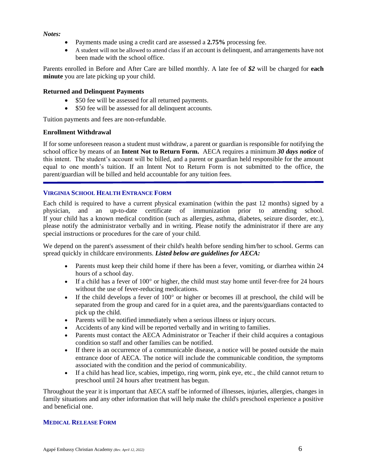#### *Notes:*

- Payments made using a credit card are assessed a **2.75%** processing fee.
- A student will not be allowed to attend class if an account is delinquent, and arrangements have not been made with the school office.

Parents enrolled in Before and After Care are billed monthly. A late fee of *\$2* will be charged for **each minute** you are late picking up your child.

#### **Returned and Delinquent Payments**

- \$50 fee will be assessed for all returned payments.
- \$50 fee will be assessed for all delinquent accounts.

Tuition payments and fees are non-refundable.

#### **Enrollment Withdrawal**

If for some unforeseen reason a student must withdraw, a parent or guardian is responsible for notifying the school office by means of an **Intent Not to Return Form.** AECA requires a minimum *30 days notice* of this intent. The student's account will be billed, and a parent or guardian held responsible for the amount equal to one month's tuition. If an Intent Not to Return Form is not submitted to the office, the parent/guardian will be billed and held accountable for any tuition fees.

# <span id="page-6-0"></span>**VIRGINIA SCHOOL HEALTH ENTRANCE FORM**

Each child is required to have a current physical examination (within the past 12 months) signed by a physician, and an up-to-date certificate of immunization prior to attending school. If your child has a known medical condition (such as allergies, asthma, diabetes, seizure disorder, etc.), please notify the administrator verbally and in writing. Please notify the administrator if there are any special instructions or procedures for the care of your child.

We depend on the parent's assessment of their child's health before sending him/her to school. Germs can spread quickly in childcare environments. *Listed below are guidelines for AECA:*

- Parents must keep their child home if there has been a fever, vomiting, or diarrhea within 24 hours of a school day.
- If a child has a fever of  $100^{\circ}$  or higher, the child must stay home until fever-free for 24 hours without the use of fever-reducing medications.
- If the child develops a fever of  $100^{\circ}$  or higher or becomes ill at preschool, the child will be separated from the group and cared for in a quiet area, and the parents/guardians contacted to pick up the child.
- Parents will be notified immediately when a serious illness or injury occurs.
- Accidents of any kind will be reported verbally and in writing to families.
- Parents must contact the AECA Administrator or Teacher if their child acquires a contagious condition so staff and other families can be notified.
- If there is an occurrence of a communicable disease, a notice will be posted outside the main entrance door of AECA. The notice will include the communicable condition, the symptoms associated with the condition and the period of communicability.
- If a child has head lice, scabies, impetigo, ring worm, pink eye, etc., the child cannot return to preschool until 24 hours after treatment has begun.

<span id="page-6-1"></span>Throughout the year it is important that AECA staff be informed of illnesses, injuries, allergies, changes in family situations and any other information that will help make the child's preschool experience a positive and beneficial one.

#### **MEDICAL RELEASE FORM**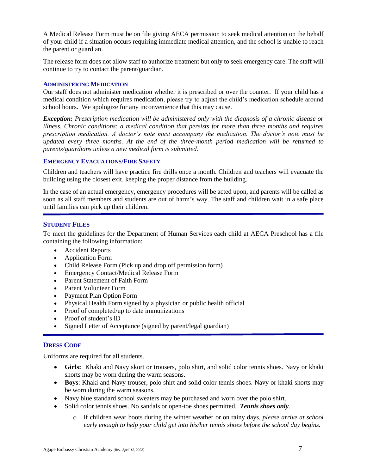A Medical Release Form must be on file giving AECA permission to seek medical attention on the behalf of your child if a situation occurs requiring immediate medical attention, and the school is unable to reach the parent or guardian.

The release form does not allow staff to authorize treatment but only to seek emergency care. The staff will continue to try to contact the parent/guardian.

#### <span id="page-7-0"></span>**ADMINISTERING MEDICATION**

Our staff does not administer medication whether it is prescribed or over the counter. If your child has a medical condition which requires medication, please try to adjust the child's medication schedule around school hours. We apologize for any inconvenience that this may cause.

*Exception: Prescription medication will be administered only with the diagnosis of a chronic disease or illness. Chronic conditions: a medical condition that persists for more than three months and requires prescription medication. A doctor's note must accompany the medication. The doctor's note must be updated every three months. At the end of the three-month period medication will be returned to parents/guardians unless a new medical form is submitted.*

# **EMERGENCY EVACUATIONS/FIRE SAFETY**

Children and teachers will have practice fire drills once a month. Children and teachers will evacuate the building using the closest exit, keeping the proper distance from the building.

In the case of an actual emergency, emergency procedures will be acted upon, and parents will be called as soon as all staff members and students are out of harm's way. The staff and children wait in a safe place until families can pick up their children.

# **STUDENT FILES**

To meet the guidelines for the Department of Human Services each child at AECA Preschool has a file containing the following information:

- Accident Reports
- Application Form
- Child Release Form (Pick up and drop off permission form)
- Emergency Contact/Medical Release Form
- Parent Statement of Faith Form
- Parent Volunteer Form
- Payment Plan Option Form
- Physical Health Form signed by a physician or public health official
- Proof of completed/up to date immunizations
- Proof of student's ID
- Signed Letter of Acceptance (signed by parent/legal guardian)

# <span id="page-7-1"></span>**DRESS CODE**

Uniforms are required for all students.

- **Girls:** Khaki and Navy skort or trousers, polo shirt, and solid color tennis shoes. Navy or khaki shorts may be worn during the warm seasons.
- **Boys**: Khaki and Navy trouser, polo shirt and solid color tennis shoes. Navy or khaki shorts may be worn during the warm seasons.
- Navy blue standard school sweaters may be purchased and worn over the polo shirt.
- Solid color tennis shoes. No sandals or open-toe shoes permitted. *Tennis shoes only*.
	- o If children wear boots during the winter weather or on rainy days, *please arrive at school early enough to help your child get into his/her tennis shoes before the school day begins.*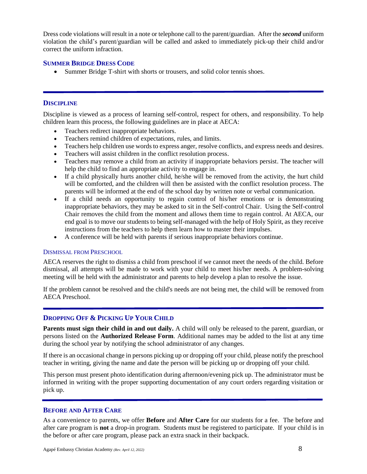Dress code violations will result in a note or telephone call to the parent/guardian. After the *second* uniform violation the child's parent/guardian will be called and asked to immediately pick-up their child and/or correct the uniform infraction.

# **SUMMER BRIDGE DRESS CODE**

• Summer Bridge T-shirt with shorts or trousers, and solid color tennis shoes.

# <span id="page-8-0"></span>**DISCIPLINE**

Discipline is viewed as a process of learning self-control, respect for others, and responsibility. To help children learn this process, the following guidelines are in place at AECA:

- Teachers redirect inappropriate behaviors.
- Teachers remind children of expectations, rules, and limits.
- Teachers help children use words to express anger, resolve conflicts, and express needs and desires.
- Teachers will assist children in the conflict resolution process.
- Teachers may remove a child from an activity if inappropriate behaviors persist. The teacher will help the child to find an appropriate activity to engage in.
- If a child physically hurts another child, he/she will be removed from the activity, the hurt child will be comforted, and the children will then be assisted with the conflict resolution process. The parents will be informed at the end of the school day by written note or verbal communication.
- If a child needs an opportunity to regain control of his/her emotions or is demonstrating inappropriate behaviors, they may be asked to sit in the Self-control Chair. Using the Self-control Chair removes the child from the moment and allows them time to regain control. At AECA, our end goal is to move our students to being self-managed with the help of Holy Spirit, as they receive instructions from the teachers to help them learn how to master their impulses.
- A conference will be held with parents if serious inappropriate behaviors continue.

# <span id="page-8-1"></span>DISMISSAL FROM PRESCHOOL

AECA reserves the right to dismiss a child from preschool if we cannot meet the needs of the child. Before dismissal, all attempts will be made to work with your child to meet his/her needs. A problem-solving meeting will be held with the administrator and parents to help develop a plan to resolve the issue.

If the problem cannot be resolved and the child's needs are not being met, the child will be removed from AECA Preschool.

# <span id="page-8-2"></span>**DROPPING OFF & PICKING UP YOUR CHILD**

**Parents must sign their child in and out daily.** A child will only be released to the parent, guardian, or persons listed on the **Authorized Release Form**. Additional names may be added to the list at any time during the school year by notifying the school administrator of any changes.

If there is an occasional change in persons picking up or dropping off your child, please notify the preschool teacher in writing, giving the name and date the person will be picking up or dropping off your child.

This person must present photo identification during afternoon/evening pick up. The administrator must be informed in writing with the proper supporting documentation of any court orders regarding visitation or pick up.

# <span id="page-8-3"></span>**BEFORE AND AFTER CARE**

As a convenience to parents, we offer **Before** and **After Care** for our students for a fee. The before and after care program is **not** a drop-in program. Students must be registered to participate. If your child is in the before or after care program, please pack an extra snack in their backpack.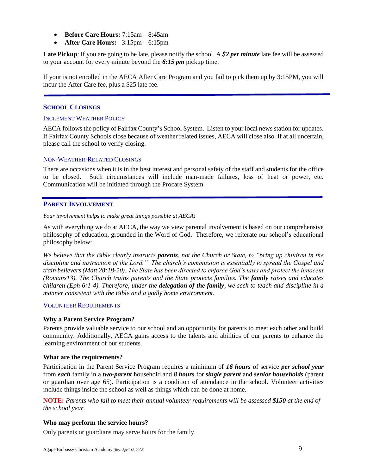- **Before Care Hours:** 7:15am 8:45am
- **After Care Hours:** 3:15pm 6:15pm

**Late Pickup**: If you are going to be late, please notify the school. A *\$2 per minute* late fee will be assessed to your account for every minute beyond the *6:15 pm* pickup time.

<span id="page-9-0"></span>If your is not enrolled in the AECA After Care Program and you fail to pick them up by 3:15PM, you will incur the After Care fee, plus a \$25 late fee.

# **SCHOOL CLOSINGS**

#### <span id="page-9-1"></span>INCLEMENT WEATHER POLICY

AECA follows the policy of Fairfax County's School System. Listen to your local news station for updates. If Fairfax County Schools close because of weather related issues, AECA will close also. If at all uncertain, please call the school to verify closing.

# <span id="page-9-2"></span>NON-WEATHER-RELATED CLOSINGS

There are occasions when it is in the best interest and personal safety of the staff and students for the office to be closed. Such circumstances will include man-made failures, loss of heat or power, etc. Communication will be initiated through the Procare System.

# <span id="page-9-3"></span>**PARENT INVOLVEMENT**

*Your involvement helps to make great things possible at AECA!*

As with everything we do at AECA, the way we view parental involvement is based on our comprehensive philosophy of education, grounded in the Word of God. Therefore, we reiterate our school's educational philosophy below:

*We believe that the Bible clearly instructs parents, not the Church or State, to "bring up children in the discipline and instruction of the Lord." The church's commission is essentially to spread the Gospel and train believers (Matt 28:18-20). The State has been directed to enforce God's laws and protect the innocent (Romans13). The Church trains parents and the State protects families. The family raises and educates children (Eph 6:1-4). Therefore, under the delegation of the family, we seek to teach and discipline in a manner consistent with the Bible and a godly home environment.*

#### <span id="page-9-4"></span>VOLUNTEER REQUIREMENTS

# **Why a Parent Service Program?**

Parents provide valuable service to our school and an opportunity for parents to meet each other and build community. Additionally, AECA gains access to the talents and abilities of our parents to enhance the learning environment of our students.

# **What are the requirements?**

Participation in the Parent Service Program requires a minimum of *16 hours* of service *per school year* from *each* family in a *two-parent* household and *8 hours* for *single parent* and *senior households* (parent or guardian over age 65). Participation is a condition of attendance in the school. Volunteer activities include things inside the school as well as things which can be done at home.

**NOTE:** *Parents who fail to meet their annual volunteer requirements will be assessed \$150 at the end of the school year.*

# **Who may perform the service hours?**

Only parents or guardians may serve hours for the family.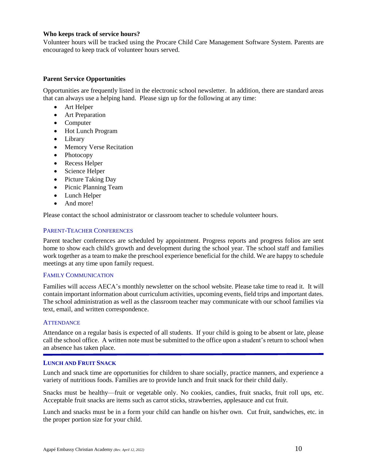#### **Who keeps track of service hours?**

Volunteer hours will be tracked using the Procare Child Care Management Software System. Parents are encouraged to keep track of volunteer hours served.

# **Parent Service Opportunities**

Opportunities are frequently listed in the electronic school newsletter. In addition, there are standard areas that can always use a helping hand. Please sign up for the following at any time:

- Art Helper
- Art Preparation
- Computer
- Hot Lunch Program
- Library
- Memory Verse Recitation
- Photocopy
- Recess Helper
- Science Helper
- Picture Taking Day
- Picnic Planning Team
- Lunch Helper
- And more!

<span id="page-10-0"></span>Please contact the school administrator or classroom teacher to schedule volunteer hours.

#### PARENT-TEACHER CONFERENCES

Parent teacher conferences are scheduled by appointment. Progress reports and progress folios are sent home to show each child's growth and development during the school year. The school staff and families work together as a team to make the preschool experience beneficial for the child. We are happy to schedule meetings at any time upon family request.

#### <span id="page-10-1"></span>FAMILY COMMUNICATION

Families will access AECA's monthly newsletter on the school website. Please take time to read it. It will contain important information about curriculum activities, upcoming events, field trips and important dates. The school administration as well as the classroom teacher may communicate with our school families via text, email, and written correspondence.

#### <span id="page-10-2"></span>**ATTENDANCE**

<span id="page-10-3"></span>

Attendance on a regular basis is expected of all students. If your child is going to be absent or late, please call the school office. A written note must be submitted to the office upon a student's return to school when an absence has taken place.

#### **LUNCH AND FRUIT SNACK**

Lunch and snack time are opportunities for children to share socially, practice manners, and experience a variety of nutritious foods. Families are to provide lunch and fruit snack for their child daily.

Snacks must be healthy—fruit or vegetable only. No cookies, candies, fruit snacks, fruit roll ups, etc. Acceptable fruit snacks are items such as carrot sticks, strawberries, applesauce and cut fruit.

Lunch and snacks must be in a form your child can handle on his/her own. Cut fruit, sandwiches, etc. in the proper portion size for your child.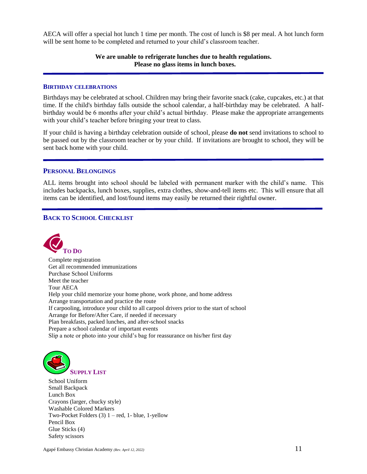AECA will offer a special hot lunch 1 time per month. The cost of lunch is \$8 per meal. A hot lunch form will be sent home to be completed and returned to your child's classroom teacher.

# **We are unable to refrigerate lunches due to health regulations. Please no glass items in lunch boxes.**

#### **BIRTHDAY CELEBRATIONS**

<span id="page-11-0"></span>

Birthdays may be celebrated at school. Children may bring their favorite snack (cake, cupcakes, etc.) at that time. If the child's birthday falls outside the school calendar, a half-birthday may be celebrated. A halfbirthday would be 6 months after your child's actual birthday. Please make the appropriate arrangements with your child's teacher before bringing your treat to class.

If your child is having a birthday celebration outside of school, please **do not** send invitations to school to be passed out by the classroom teacher or by your child. If invitations are brought to school, they will be sent back home with your child.

#### <span id="page-11-1"></span>**PERSONAL BELONGINGS**

ALL items brought into school should be labeled with permanent marker with the child's name. This includes backpacks, lunch boxes, supplies, extra clothes, show-and-tell items etc. This will ensure that all items can be identified, and lost/found items may easily be returned their rightful owner.

# <span id="page-11-2"></span>**BACK TO SCHOOL CHECKLIST**

<span id="page-11-3"></span>

Complete registration Get all recommended immunizations Purchase School Uniforms Meet the teacher Tour AECA Help your child memorize your home phone, work phone, and home address Arrange transportation and practice the route If carpooling, introduce your child to all carpool drivers prior to the start of school Arrange for Before/After Care, if needed if necessary Plan breakfasts, packed lunches, and after-school snacks Prepare a school calendar of important events Slip a note or photo into your child's bag for reassurance on his/her first day

<span id="page-11-4"></span>

School Uniform Small Backpack Lunch Box Crayons (larger, chucky style) Washable Colored Markers Two-Pocket Folders  $(3)$  1 – red, 1- blue, 1-yellow Pencil Box Glue Sticks (4) Safety scissors